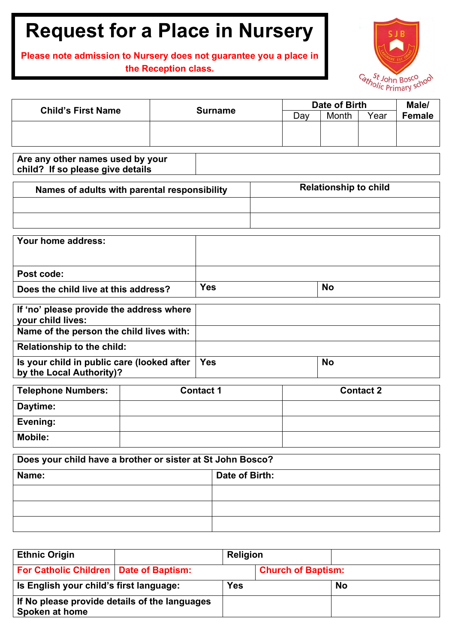## **Request for a Place in Nursery**

## **Please note admission to Nursery does not guarantee you a place in the Reception class.**



| <b>Child's First Name</b> | <b>Surname</b> | Date of Birth | Male/ |      |        |
|---------------------------|----------------|---------------|-------|------|--------|
|                           |                | Day           | Month | Year | Female |
|                           |                |               |       |      |        |
|                           |                |               |       |      |        |
|                           |                |               |       |      |        |

**Are any other names used by your child? If so please give details**

| Names of adults with parental responsibility | <b>Relationship to child</b> |  |  |
|----------------------------------------------|------------------------------|--|--|
|                                              |                              |  |  |
|                                              |                              |  |  |

| Your home address:                   |            |           |
|--------------------------------------|------------|-----------|
| Post code:                           |            |           |
| Does the child live at this address? | <b>Yes</b> | <b>No</b> |

| If 'no' please provide the address where   |            |           |
|--------------------------------------------|------------|-----------|
| your child lives:                          |            |           |
| Name of the person the child lives with:   |            |           |
| <b>Relationship to the child:</b>          |            |           |
| Is your child in public care (looked after | <b>Yes</b> | <b>No</b> |
| by the Local Authority)?                   |            |           |

| Telephone Numbers: | <b>Contact 1</b> | <b>Contact 2</b> |
|--------------------|------------------|------------------|
| Daytime:           |                  |                  |
| Evening:           |                  |                  |
| <b>Mobile:</b>     |                  |                  |

| Does your child have a brother or sister at St John Bosco? |                |  |  |  |
|------------------------------------------------------------|----------------|--|--|--|
| Name:                                                      | Date of Birth: |  |  |  |
|                                                            |                |  |  |  |
|                                                            |                |  |  |  |
|                                                            |                |  |  |  |

| <b>Ethnic Origin</b>                                            |  | Religion   |                           |           |
|-----------------------------------------------------------------|--|------------|---------------------------|-----------|
| For Catholic Children   Date of Baptism:                        |  |            | <b>Church of Baptism:</b> |           |
| Is English your child's first language:                         |  | <b>Yes</b> |                           | <b>No</b> |
| If No please provide details of the languages<br>Spoken at home |  |            |                           |           |